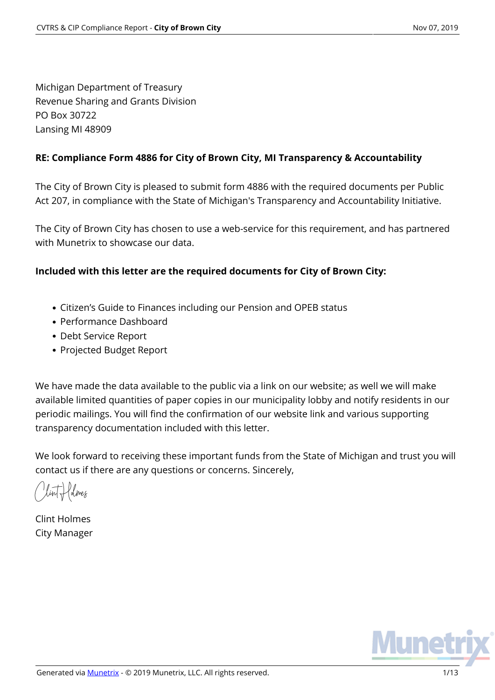Michigan Department of Treasury Revenue Sharing and Grants Division PO Box 30722 Lansing MI 48909

### **RE: Compliance Form 4886 for City of Brown City, MI Transparency & Accountability**

The City of Brown City is pleased to submit form 4886 with the required documents per Public Act 207, in compliance with the State of Michigan's Transparency and Accountability Initiative.

The City of Brown City has chosen to use a web-service for this requirement, and has partnered with Munetrix to showcase our data.

### **Included with this letter are the required documents for City of Brown City:**

- Citizen's Guide to Finances including our Pension and OPEB status
- Performance Dashboard
- Debt Service Report
- Projected Budget Report

We have made the data available to the public via a link on our website; as well we will make available limited quantities of paper copies in our municipality lobby and notify residents in our periodic mailings. You will find the confirmation of our website link and various supporting transparency documentation included with this letter.

We look forward to receiving these important funds from the State of Michigan and trust you will contact us if there are any questions or concerns. Sincerely,

Kolmes

Clint Holmes City Manager

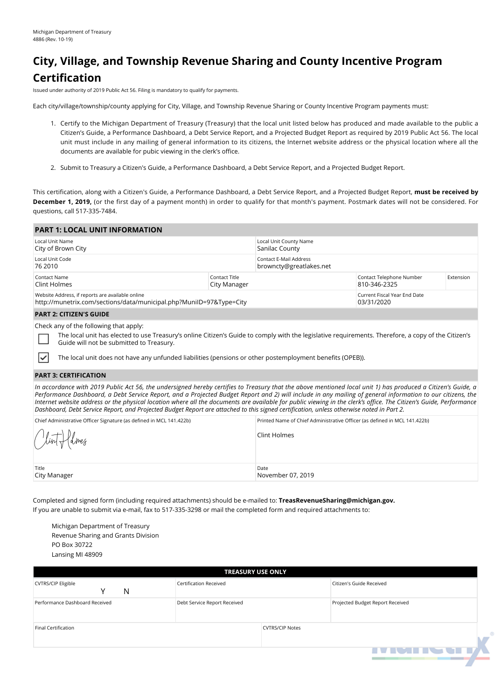# **City, Village, and Township Revenue Sharing and County Incentive Program Certification**

Issued under authority of 2019 Public Act 56. Filing is mandatory to qualify for payments.

Each city/village/township/county applying for City, Village, and Township Revenue Sharing or County Incentive Program payments must:

- 1. Certify to the Michigan Department of Treasury (Treasury) that the local unit listed below has produced and made available to the public a Citizen's Guide, a Performance Dashboard, a Debt Service Report, and a Projected Budget Report as required by 2019 Public Act 56. The local unit must include in any mailing of general information to its citizens, the Internet website address or the physical location where all the documents are available for pubic viewing in the clerk's office.
- 2. Submit to Treasury a Citizen's Guide, a Performance Dashboard, a Debt Service Report, and a Projected Budget Report.

This certification, along with a Citizen's Guide, a Performance Dashboard, a Debt Service Report, and a Projected Budget Report, **must be received by December 1, 2019,** (or the first day of a payment month) in order to qualify for that month's payment. Postmark dates will not be considered. For questions, call 517-335-7484.

| <b>PART 1: LOCAL UNIT INFORMATION</b>                                                                                   |                               |                                                          |                                            |           |  |
|-------------------------------------------------------------------------------------------------------------------------|-------------------------------|----------------------------------------------------------|--------------------------------------------|-----------|--|
| Local Unit Name<br>City of Brown City                                                                                   |                               | Local Unit County Name<br>Sanilac County                 |                                            |           |  |
| Local Unit Code<br>76 2010                                                                                              |                               | <b>Contact E-Mail Address</b><br>browncty@greatlakes.net |                                            |           |  |
| Contact Name<br>Clint Holmes                                                                                            | Contact Title<br>City Manager |                                                          | Contact Telephone Number<br>810-346-2325   | Extension |  |
| Website Address, if reports are available online<br>http://munetrix.com/sections/data/municipal.php?MuniID=97&Type=City |                               |                                                          | Current Fiscal Year End Date<br>03/31/2020 |           |  |
| <b>PART 2: CITIZEN'S GUIDE</b>                                                                                          |                               |                                                          |                                            |           |  |
| Check any of the following that apply:                                                                                  |                               |                                                          |                                            |           |  |

The local unit has elected to use Treasury's online Citizen's Guide to comply with the legislative requirements. Therefore, a copy of the Citizen's Guide will not be submitted to Treasury.

The local unit does not have any unfunded liabilities (pensions or other postemployment benefits (OPEB)).

#### **PART 3: CERTIFICATION**

₹

*In accordance with 2019 Public Act 56, the undersigned hereby certifies to Treasury that the above mentioned local unit 1) has produced a Citizen's Guide, a Performance Dashboard, a Debt Service Report, and a Projected Budget Report and 2) will include in any mailing of general information to our citizens, the Internet website address or the physical location where all the documents are available for public viewing in the clerk's office. The Citizen's Guide, Performance Dashboard, Debt Service Report, and Projected Budget Report are attached to this signed certification, unless otherwise noted in Part 2.*

| Chief Administrative Officer Signature (as defined in MCL 141.422b) | Printed Name of Chief Administrative Officer (as defined in MCL 141.422b) |
|---------------------------------------------------------------------|---------------------------------------------------------------------------|
| Clint flolmes                                                       | Clint Holmes                                                              |
| Title<br>City Manager                                               | Date<br>November 07, 2019                                                 |

Completed and signed form (including required attachments) should be e-mailed to: **TreasRevenueSharing@michigan.gov.** If you are unable to submit via e-mail, fax to 517-335-3298 or mail the completed form and required attachments to:

Michigan Department of Treasury Revenue Sharing and Grants Division PO Box 30722 Lansing MI 48909

| <b>TREASURY USE ONLY</b>       |                               |                        |                                  |  |  |  |  |
|--------------------------------|-------------------------------|------------------------|----------------------------------|--|--|--|--|
| <b>CVTRS/CIP Eligible</b><br>N | <b>Certification Received</b> |                        | Citizen's Guide Received         |  |  |  |  |
| Performance Dashboard Received | Debt Service Report Received  |                        | Projected Budget Report Received |  |  |  |  |
| Final Certification            |                               | <b>CVTRS/CIP Notes</b> |                                  |  |  |  |  |
|                                |                               |                        | <b>IVIMINATI</b>                 |  |  |  |  |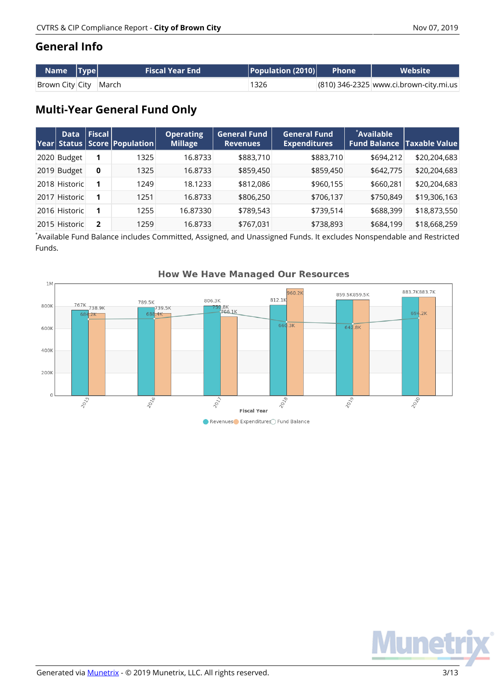## **General Info**

| $\lceil$ Name $\lceil$ Type $\lceil$ $\rceil$ | <b>Fiscal Year End</b> | $ $ Population (2010) $ $ | <b>Phone</b> | <b>Website</b>                         |
|-----------------------------------------------|------------------------|---------------------------|--------------|----------------------------------------|
| Brown City City March                         |                        | 1326                      |              | (810) 346-2325 www.ci.brown-city.mi.us |

## **Multi-Year General Fund Only**

| <b>Data</b>   | $ $ Fiscal $ $ | <b>Year Status Score Population</b> | <b>Operating</b><br><b>Millage</b> | <b>General Fund</b><br><b>Revenues</b> | General Fund<br><b>Expenditures</b> | <b>Available</b> | <b>Fund Balance   Taxable Value </b> |
|---------------|----------------|-------------------------------------|------------------------------------|----------------------------------------|-------------------------------------|------------------|--------------------------------------|
| 2020 Budget   |                | 1325                                | 16.8733                            | \$883,710                              | \$883,710                           | \$694,212        | \$20,204,683                         |
| 2019 Budget   | 0              | 1325                                | 16.8733                            | \$859,450                              | \$859,450                           | \$642,775        | \$20,204,683                         |
| 2018 Historic |                | 1249                                | 18.1233                            | \$812,086                              | \$960,155                           | \$660,281        | \$20,204,683                         |
| 2017 Historic |                | 1251                                | 16.8733                            | \$806,250                              | \$706,137                           | \$750,849        | \$19,306,163                         |
| 2016 Historic |                | 1255                                | 16.87330                           | \$789,543                              | \$739,514                           | \$688,399        | \$18,873,550                         |
| 2015 Historic | 2              | 1259                                | 16.8733                            | \$767,031                              | \$738,893                           | \$684,199        | \$18,668,259                         |

\* Available Fund Balance includes Committed, Assigned, and Unassigned Funds. It excludes Nonspendable and Restricted Funds.



### **How We Have Managed Our Resources**

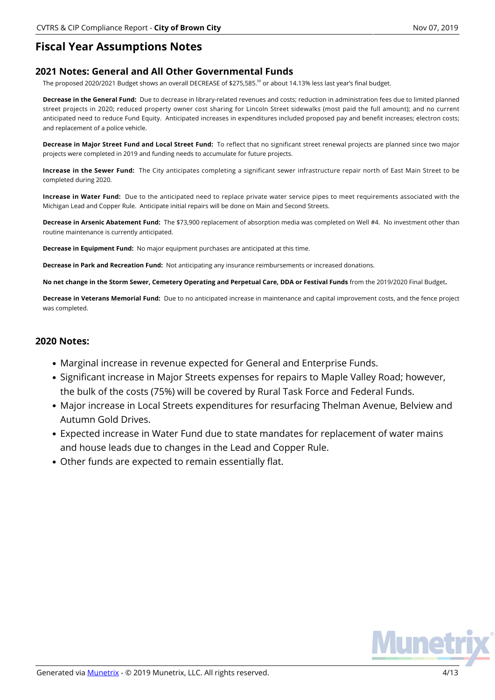### **Fiscal Year Assumptions Notes**

#### **2021 Notes: General and All Other Governmental Funds**

The proposed 2020/2021 Budget shows an overall DECREASE of \$275,585.<sup>00</sup> or about 14.13% less last year's final budget.

**Decrease in the General Fund:** Due to decrease in library-related revenues and costs; reduction in administration fees due to limited planned street projects in 2020; reduced property owner cost sharing for Lincoln Street sidewalks (most paid the full amount); and no current anticipated need to reduce Fund Equity. Anticipated increases in expenditures included proposed pay and benefit increases; electron costs; and replacement of a police vehicle.

**Decrease in Major Street Fund and Local Street Fund:** To reflect that no significant street renewal projects are planned since two major projects were completed in 2019 and funding needs to accumulate for future projects.

**Increase in the Sewer Fund:** The City anticipates completing a significant sewer infrastructure repair north of East Main Street to be completed during 2020.

**Increase in Water Fund:** Due to the anticipated need to replace private water service pipes to meet requirements associated with the Michigan Lead and Copper Rule. Anticipate initial repairs will be done on Main and Second Streets.

**Decrease in Arsenic Abatement Fund:** The \$73,900 replacement of absorption media was completed on Well #4. No investment other than routine maintenance is currently anticipated.

**Decrease in Equipment Fund:** No major equipment purchases are anticipated at this time.

**Decrease in Park and Recreation Fund:** Not anticipating any insurance reimbursements or increased donations.

**No net change in the Storm Sewer, Cemetery Operating and Perpetual Care, DDA or Festival Funds** from the 2019/2020 Final Budget**.**

**Decrease in Veterans Memorial Fund:** Due to no anticipated increase in maintenance and capital improvement costs, and the fence project was completed.

#### **2020 Notes:**

- Marginal increase in revenue expected for General and Enterprise Funds.
- Significant increase in Major Streets expenses for repairs to Maple Valley Road; however, the bulk of the costs (75%) will be covered by Rural Task Force and Federal Funds.
- Major increase in Local Streets expenditures for resurfacing Thelman Avenue, Belview and Autumn Gold Drives.
- Expected increase in Water Fund due to state mandates for replacement of water mains and house leads due to changes in the Lead and Copper Rule.
- Other funds are expected to remain essentially flat.

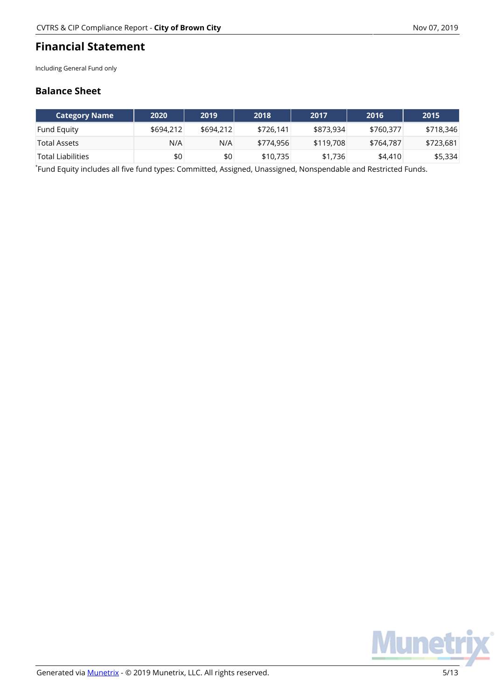## **Financial Statement**

Including General Fund only

### **Balance Sheet**

| <b>Category Name</b> | 2020      | 2019      | 2018      | 2017      | 2016      | 2015      |
|----------------------|-----------|-----------|-----------|-----------|-----------|-----------|
| <b>Fund Equity</b>   | \$694,212 | \$694,212 | \$726.141 | \$873,934 | \$760.377 | \$718,346 |
| Total Assets         | N/A       | N/A       | \$774,956 | \$119,708 | \$764.787 | \$723,681 |
| 'Total Liabilities   | \$0       | \$0       | \$10,735  | \$1,736   | \$4,410   | \$5,334   |

\* Fund Equity includes all five fund types: Committed, Assigned, Unassigned, Nonspendable and Restricted Funds.

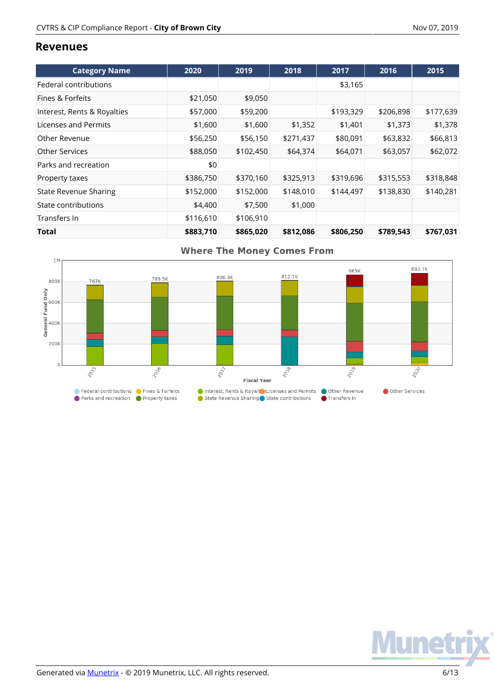### **Revenues**

| <b>Category Name</b>         | 2020      | 2019      | 2018      | 2017      | 2016      | 2015      |
|------------------------------|-----------|-----------|-----------|-----------|-----------|-----------|
| Federal contributions        |           |           |           | \$3,165   |           |           |
| Fines & Forfeits             | \$21,050  | \$9,050   |           |           |           |           |
| Interest, Rents & Royalties  | \$57,000  | \$59,200  |           | \$193,329 | \$206,898 | \$177,639 |
| Licenses and Permits         | \$1,600   | \$1,600   | \$1,352   | \$1,401   | \$1,373   | \$1,378   |
| Other Revenue                | \$56,250  | \$56,150  | \$271,437 | \$80,091  | \$63,832  | \$66,813  |
| <b>Other Services</b>        | \$88,050  | \$102,450 | \$64,374  | \$64,071  | \$63,057  | \$62,072  |
| Parks and recreation         | \$0       |           |           |           |           |           |
| Property taxes               | \$386,750 | \$370,160 | \$325,913 | \$319,696 | \$315,553 | \$318,848 |
| <b>State Revenue Sharing</b> | \$152,000 | \$152,000 | \$148,010 | \$144,497 | \$138,830 | \$140,281 |
| State contributions          | \$4,400   | \$7,500   | \$1,000   |           |           |           |
| Transfers In                 | \$116,610 | \$106,910 |           |           |           |           |
| Total                        | \$883,710 | \$865,020 | \$812,086 | \$806,250 | \$789,543 | \$767,031 |



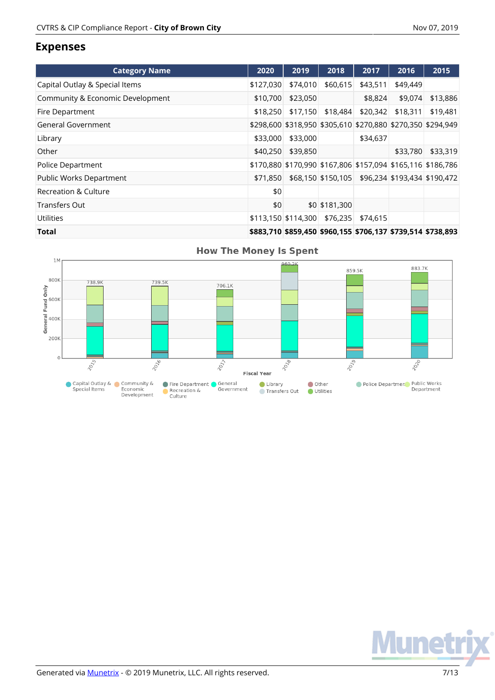### **Expenses**

| <b>Category Name</b>             | 2020      | 2019                                                        | 2018                                            | 2017     | 2016     | 2015     |
|----------------------------------|-----------|-------------------------------------------------------------|-------------------------------------------------|----------|----------|----------|
| Capital Outlay & Special Items   | \$127,030 | \$74,010                                                    | \$60,615                                        | \$43,511 | \$49,449 |          |
| Community & Economic Development | \$10,700  | \$23,050                                                    |                                                 | \$8,824  | \$9,074  | \$13,886 |
| Fire Department                  | \$18,250  | \$17,150                                                    | \$18,484                                        | \$20,342 | \$18,311 | \$19,481 |
| General Government               |           | \$298,600 \$318,950 \$305,610 \$270,880 \$270,350 \$294,949 |                                                 |          |          |          |
| Library                          | \$33,000  | \$33,000                                                    |                                                 | \$34,637 |          |          |
| Other                            | \$40,250  | \$39,850                                                    |                                                 |          | \$33,780 | \$33,319 |
| Police Department                |           | \$170,880 \$170,990 \$167,806 \$157,094 \$165,116 \$186,786 |                                                 |          |          |          |
| Public Works Department          | \$71,850  |                                                             | \$68,150 \$150,105 \$96,234 \$193,434 \$190,472 |          |          |          |
| Recreation & Culture             | \$0       |                                                             |                                                 |          |          |          |
| <b>Transfers Out</b>             | \$0       |                                                             | \$0 \$181,300                                   |          |          |          |
| <b>Utilities</b>                 |           | \$113,150 \$114,300                                         | \$76,235                                        | \$74,615 |          |          |
| .                                |           | *^^^ 74^ *^^^ 15^ *^^^ 15F *7^^ 1^'                         |                                                 |          |          |          |

**Total \$883,710 \$859,450 \$960,155 \$706,137 \$739,514 \$738,893**



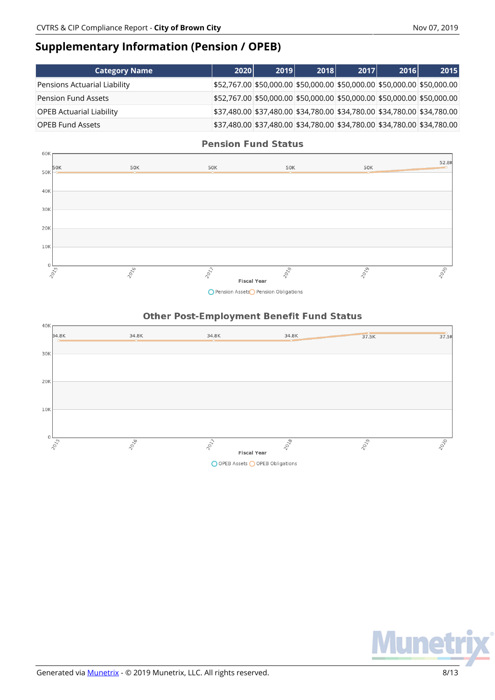## **Supplementary Information (Pension / OPEB)**

| <b>Category Name</b>            | 2020 | 2019 | 2018 | 2017 | <b>2016</b> | 2015                                                                    |
|---------------------------------|------|------|------|------|-------------|-------------------------------------------------------------------------|
| Pensions Actuarial Liability    |      |      |      |      |             | \$52,767.00 \$50,000.00 \$50,000.00 \$50,000.00 \$50,000.00 \$50,000.00 |
| <b>Pension Fund Assets</b>      |      |      |      |      |             | \$52,767.00 \$50,000.00 \$50,000.00 \$50,000.00 \$50,000.00 \$50,000.00 |
| <b>OPEB Actuarial Liability</b> |      |      |      |      |             | \$37,480.00 \$37,480.00 \$34,780.00 \$34,780.00 \$34,780.00 \$34,780.00 |
| <b>OPEB Fund Assets</b>         |      |      |      |      |             | \$37,480.00 \$37,480.00 \$34,780.00 \$34,780.00 \$34,780.00 \$34,780.00 |



O Pension Assets Pension Obligations

#### **Other Post-Employment Benefit Fund Status**



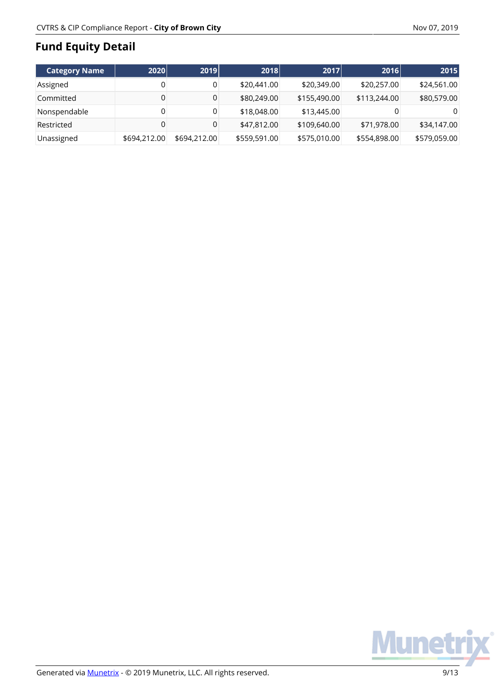# **Fund Equity Detail**

|                      |              |              |              |              | 2016         |              |
|----------------------|--------------|--------------|--------------|--------------|--------------|--------------|
| <b>Category Name</b> | 2020         | 2019         | 2018         | 2017         |              | 2015         |
| Assigned             | 0            |              | \$20,441.00  | \$20,349.00  | \$20,257.00  | \$24,561.00  |
| Committed            | 0            | 0            | \$80,249.00  | \$155,490.00 | \$113,244.00 | \$80,579.00  |
| Nonspendable         | 0            |              | \$18,048.00  | \$13,445.00  |              | 0            |
| Restricted           | $\mathbf 0$  |              | \$47,812.00  | \$109,640.00 | \$71,978.00  | \$34,147.00  |
| Unassigned           | \$694,212.00 | \$694,212.00 | \$559,591.00 | \$575,010.00 | \$554,898.00 | \$579,059.00 |

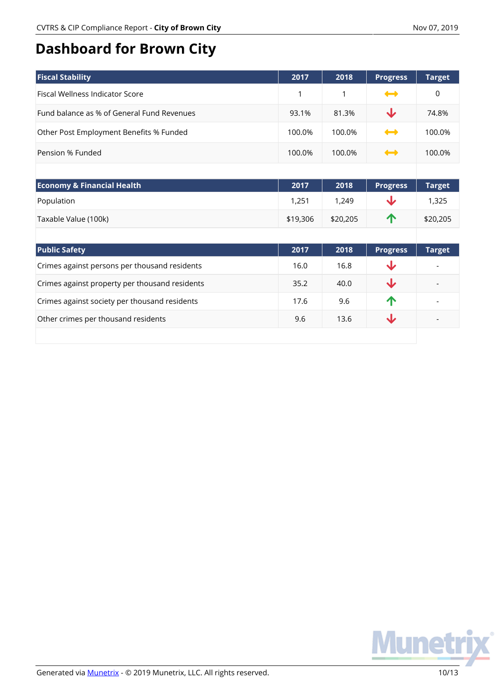# **Dashboard for Brown City**

| <b>Fiscal Stability</b>                    | 2017   | 2018   | <b>Progress</b> | <b>Target</b> |
|--------------------------------------------|--------|--------|-----------------|---------------|
| Fiscal Wellness Indicator Score            |        | 1      | $\rightarrow$   | 0             |
| Fund balance as % of General Fund Revenues | 93.1%  | 81.3%  | ◡               | 74.8%         |
| Other Post Employment Benefits % Funded    | 100.0% | 100.0% | $\rightarrow$   | 100.0%        |
| Pension % Funded                           | 100.0% | 100.0% | $\rightarrow$   | 100.0%        |

| <b>Economy &amp; Financial Health</b> | 2017     | 2018     | <b>Progress</b> | <b>Target</b> |
|---------------------------------------|----------|----------|-----------------|---------------|
| Population                            | 1,251    | 1.249    |                 | 1.325         |
| Taxable Value (100k)                  | \$19,306 | \$20,205 | Л               | \$20,205      |

| <b>Public Safety</b>                           | 2017 | 2018 | <b>Progress</b> | <b>Target</b> |
|------------------------------------------------|------|------|-----------------|---------------|
| Crimes against persons per thousand residents  | 16.0 | 16.8 | J               |               |
| Crimes against property per thousand residents | 35.2 | 40.0 |                 |               |
| Crimes against society per thousand residents  | 17.6 | 9.6  | $\sqrt{N}$      |               |
| Other crimes per thousand residents            | 9.6  | 13.6 |                 |               |
|                                                |      |      |                 |               |

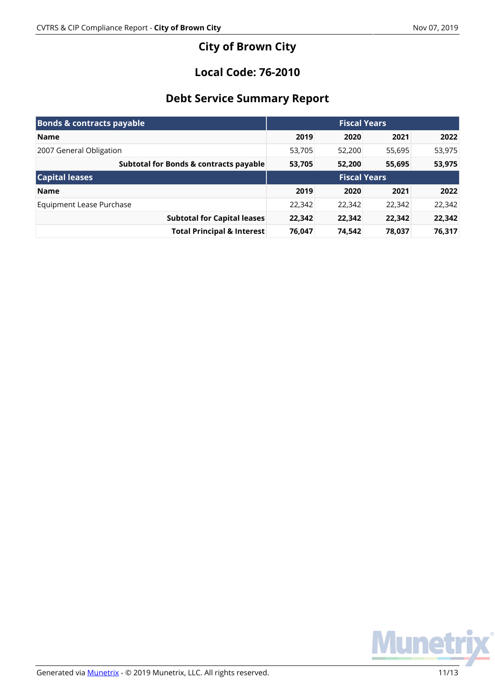## **City of Brown City**

## **Local Code: 76-2010**

## **Debt Service Summary Report**

| <b>Bonds &amp; contracts payable</b>   | <b>Fiscal Years</b> |        |        |        |
|----------------------------------------|---------------------|--------|--------|--------|
| <b>Name</b>                            | 2019                | 2020   | 2021   | 2022   |
| 2007 General Obligation                | 53,705              | 52,200 | 55,695 | 53,975 |
| Subtotal for Bonds & contracts payable | 53,705              | 52,200 | 55,695 | 53,975 |
| <b>Capital leases</b>                  | <b>Fiscal Years</b> |        |        |        |
| <b>Name</b>                            | 2019                | 2020   | 2021   | 2022   |
| Equipment Lease Purchase               | 22,342              | 22,342 | 22,342 | 22,342 |
| <b>Subtotal for Capital leases</b>     | 22,342              | 22,342 | 22,342 | 22,342 |
| <b>Total Principal &amp; Interest</b>  | 76,047              | 74,542 | 78,037 | 76,317 |

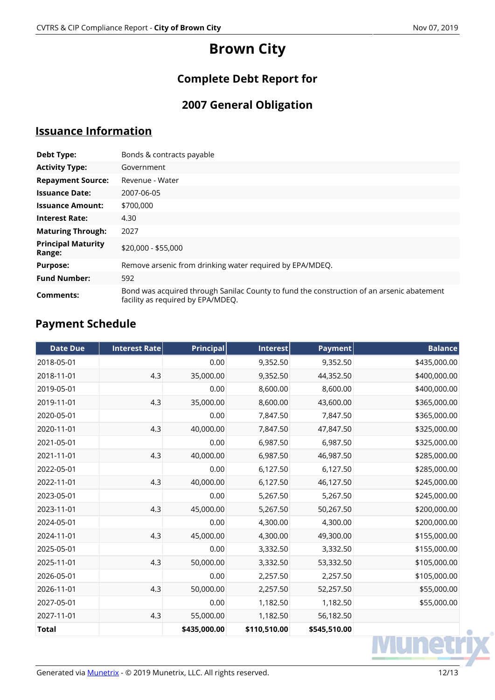# **Brown City**

## **Complete Debt Report for**

# **2007 General Obligation**

## **Issuance Information**

| Debt Type:                          | Bonds & contracts payable                                                                                                      |
|-------------------------------------|--------------------------------------------------------------------------------------------------------------------------------|
| <b>Activity Type:</b>               | Government                                                                                                                     |
| <b>Repayment Source:</b>            | Revenue - Water                                                                                                                |
| <b>Issuance Date:</b>               | 2007-06-05                                                                                                                     |
| <b>Issuance Amount:</b>             | \$700,000                                                                                                                      |
| <b>Interest Rate:</b>               | 4.30                                                                                                                           |
| <b>Maturing Through:</b>            | 2027                                                                                                                           |
| <b>Principal Maturity</b><br>Range: | \$20,000 - \$55,000                                                                                                            |
| <b>Purpose:</b>                     | Remove arsenic from drinking water required by EPA/MDEQ.                                                                       |
| <b>Fund Number:</b>                 | 592                                                                                                                            |
| Comments:                           | Bond was acquired through Sanilac County to fund the construction of an arsenic abatement<br>facility as required by EPA/MDEQ. |

## **Payment Schedule**

| <b>Date Due</b> | <b>Interest Rate</b> | <b>Principal</b> | <b>Interest</b> | <b>Payment</b> | <b>Balance</b> |
|-----------------|----------------------|------------------|-----------------|----------------|----------------|
| 2018-05-01      |                      | 0.00             | 9,352.50        | 9,352.50       | \$435,000.00   |
| 2018-11-01      | 4.3                  | 35,000.00        | 9,352.50        | 44,352.50      | \$400,000.00   |
| 2019-05-01      |                      | 0.00             | 8,600.00        | 8,600.00       | \$400,000.00   |
| 2019-11-01      | 4.3                  | 35,000.00        | 8,600.00        | 43,600.00      | \$365,000.00   |
| 2020-05-01      |                      | 0.00             | 7,847.50        | 7,847.50       | \$365,000.00   |
| 2020-11-01      | 4.3                  | 40,000.00        | 7,847.50        | 47,847.50      | \$325,000.00   |
| 2021-05-01      |                      | 0.00             | 6,987.50        | 6,987.50       | \$325,000.00   |
| 2021-11-01      | 4.3                  | 40,000.00        | 6,987.50        | 46,987.50      | \$285,000.00   |
| 2022-05-01      |                      | 0.00             | 6,127.50        | 6,127.50       | \$285,000.00   |
| 2022-11-01      | 4.3                  | 40,000.00        | 6,127.50        | 46,127.50      | \$245,000.00   |
| 2023-05-01      |                      | 0.00             | 5,267.50        | 5,267.50       | \$245,000.00   |
| 2023-11-01      | 4.3                  | 45,000.00        | 5,267.50        | 50,267.50      | \$200,000.00   |
| 2024-05-01      |                      | 0.00             | 4,300.00        | 4,300.00       | \$200,000.00   |
| 2024-11-01      | 4.3                  | 45,000.00        | 4,300.00        | 49,300.00      | \$155,000.00   |
| 2025-05-01      |                      | 0.00             | 3,332.50        | 3,332.50       | \$155,000.00   |
| 2025-11-01      | 4.3                  | 50,000.00        | 3,332.50        | 53,332.50      | \$105,000.00   |
| 2026-05-01      |                      | 0.00             | 2,257.50        | 2,257.50       | \$105,000.00   |
| 2026-11-01      | 4.3                  | 50,000.00        | 2,257.50        | 52,257.50      | \$55,000.00    |
| 2027-05-01      |                      | 0.00             | 1,182.50        | 1,182.50       | \$55,000.00    |
| 2027-11-01      | 4.3                  | 55,000.00        | 1,182.50        | 56,182.50      |                |
| <b>Total</b>    |                      | \$435,000.00     | \$110,510.00    | \$545,510.00   |                |
|                 |                      |                  |                 |                |                |